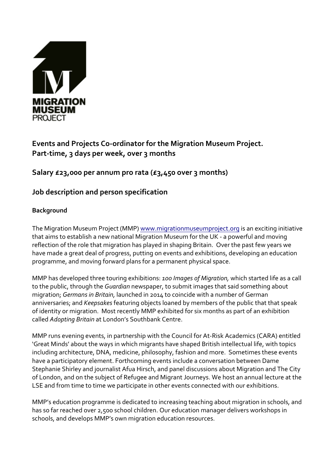

# **Events and Projects Co-ordinator for the Migration Museum Project. Part-time, 3 days per week, over 3 months**

**Salary £23,000 per annum pro rata (£3,450 over 3 months)**

## **Job description and person specification**

## **Background**

The Migration Museum Project (MMP) www.migrationmuseumproject.org is an exciting initiative that aims to establish a new national Migration Museum for the UK - a powerful and moving reflection of the role that migration has played in shaping Britain. Over the past few years we have made a great deal of progress, putting on events and exhibitions, developing an education programme, and moving forward plans for a permanent physical space.

MMP has developed three touring exhibitions: *100 Images of Migration,* which started life as a call to the public, through the *Guardian* newspaper, to submit images that said something about migration; *Germans in Britain,* launched in 2014 to coincide with a number of German anniversaries; and *Keepsakes* featuring objects loaned by members of the public that that speak of identity or migration. Most recently MMP exhibited for six months as part of an exhibition called *Adopting Britain* at London's Southbank Centre.

MMP runs evening events, in partnership with the Council for At-Risk Academics (CARA) entitled 'Great Minds' about the ways in which migrants have shaped British intellectual life, with topics including architecture, DNA, medicine, philosophy, fashion and more. Sometimes these events have a participatory element. Forthcoming events include a conversation between Dame Stephanie Shirley and journalist Afua Hirsch, and panel discussions about Migration and The City of London, and on the subject of Refugee and Migrant Journeys. We host an annual lecture at the LSE and from time to time we participate in other events connected with our exhibitions.

MMP's education programme is dedicated to increasing teaching about migration in schools, and has so far reached over 2,500 school children. Our education manager delivers workshops in schools, and develops MMP's own migration education resources.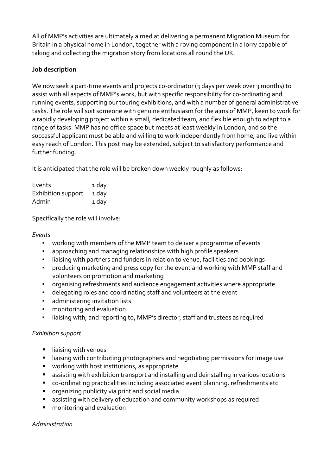All of MMP's activities are ultimately aimed at delivering a permanent Migration Museum for Britain in a physical home in London, together with a roving component in a lorry capable of taking and collecting the migration story from locations all round the UK.

## **Job description**

We now seek a part-time events and projects co-ordinator (3 days per week over 3 months) to assist with all aspects of MMP's work, but with specific responsibility for co-ordinating and running events, supporting our touring exhibitions, and with a number of general administrative tasks. The role will suit someone with genuine enthusiasm for the aims of MMP, keen to work for a rapidly developing project within a small, dedicated team, and flexible enough to adapt to a range of tasks. MMP has no office space but meets at least weekly in London, and so the successful applicant must be able and willing to work independently from home, and live within easy reach of London. This post may be extended, subject to satisfactory performance and further funding.

It is anticipated that the role will be broken down weekly roughly as follows:

| Events             | 1 day |
|--------------------|-------|
| Exhibition support | 1 day |
| Admin              | 1 day |

Specifically the role will involve:

### *Events*

- working with members of the MMP team to deliver a programme of events
- approaching and managing relationships with high profile speakers
- liaising with partners and funders in relation to venue, facilities and bookings
- producing marketing and press copy for the event and working with MMP staff and volunteers on promotion and marketing
- organising refreshments and audience engagement activities where appropriate
- delegating roles and coordinating staff and volunteers at the event
- **•** administering invitation lists
- monitoring and evaluation
- liaising with, and reporting to, MMP's director, staff and trustees as required

### *Exhibition support*

- liaising with venues
- liaising with contributing photographers and negotiating permissions for image use
- working with host institutions, as appropriate
- assisting with exhibition transport and installing and deinstalling in various locations
- co-ordinating practicalities including associated event planning, refreshments etc
- organizing publicity via print and social media
- assisting with delivery of education and community workshops as required
- monitoring and evaluation

*Administration*